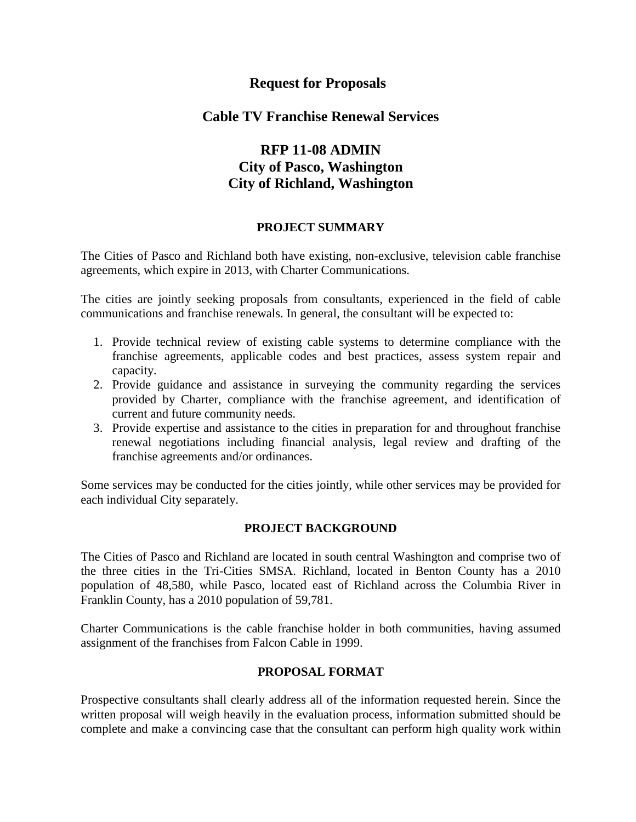# **Request for Proposals**

### **Cable TV Franchise Renewal Services**

# **RFP 11-08 ADMIN City of Pasco, Washington City of Richland, Washington**

### **PROJECT SUMMARY**

The Cities of Pasco and Richland both have existing, non-exclusive, television cable franchise agreements, which expire in 2013, with Charter Communications.

The cities are jointly seeking proposals from consultants, experienced in the field of cable communications and franchise renewals. In general, the consultant will be expected to:

- 1. Provide technical review of existing cable systems to determine compliance with the franchise agreements, applicable codes and best practices, assess system repair and capacity.
- 2. Provide guidance and assistance in surveying the community regarding the services provided by Charter, compliance with the franchise agreement, and identification of current and future community needs.
- 3. Provide expertise and assistance to the cities in preparation for and throughout franchise renewal negotiations including financial analysis, legal review and drafting of the franchise agreements and/or ordinances.

Some services may be conducted for the cities jointly, while other services may be provided for each individual City separately.

### **PROJECT BACKGROUND**

The Cities of Pasco and Richland are located in south central Washington and comprise two of the three cities in the Tri-Cities SMSA. Richland, located in Benton County has a 2010 population of 48,580, while Pasco, located east of Richland across the Columbia River in Franklin County, has a 2010 population of 59,781.

Charter Communications is the cable franchise holder in both communities, having assumed assignment of the franchises from Falcon Cable in 1999.

### **PROPOSAL FORMAT**

Prospective consultants shall clearly address all of the information requested herein. Since the written proposal will weigh heavily in the evaluation process, information submitted should be complete and make a convincing case that the consultant can perform high quality work within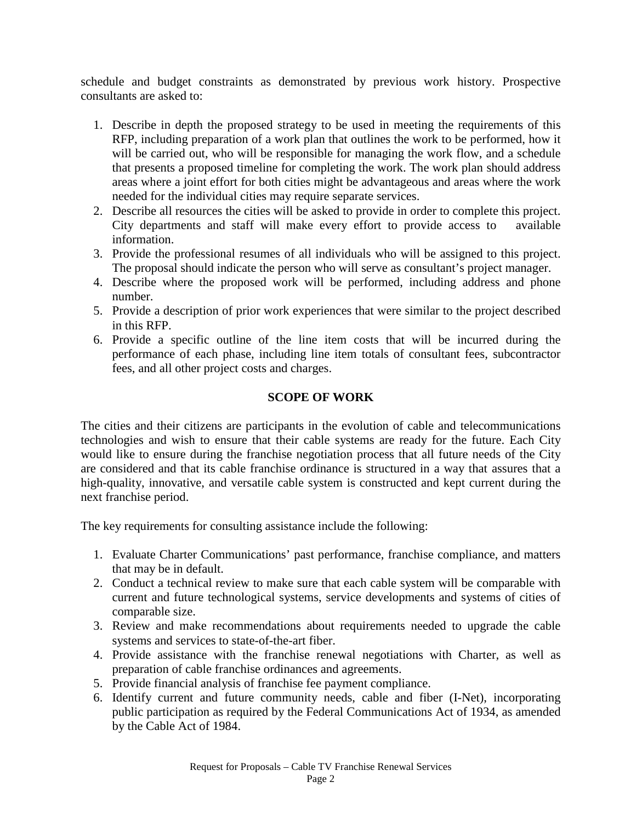schedule and budget constraints as demonstrated by previous work history. Prospective consultants are asked to:

- 1. Describe in depth the proposed strategy to be used in meeting the requirements of this RFP, including preparation of a work plan that outlines the work to be performed, how it will be carried out, who will be responsible for managing the work flow, and a schedule that presents a proposed timeline for completing the work. The work plan should address areas where a joint effort for both cities might be advantageous and areas where the work needed for the individual cities may require separate services.
- 2. Describe all resources the cities will be asked to provide in order to complete this project. City departments and staff will make every effort to provide access to available information.
- 3. Provide the professional resumes of all individuals who will be assigned to this project. The proposal should indicate the person who will serve as consultant's project manager.
- 4. Describe where the proposed work will be performed, including address and phone number.
- 5. Provide a description of prior work experiences that were similar to the project described in this RFP.
- 6. Provide a specific outline of the line item costs that will be incurred during the performance of each phase, including line item totals of consultant fees, subcontractor fees, and all other project costs and charges.

### **SCOPE OF WORK**

The cities and their citizens are participants in the evolution of cable and telecommunications technologies and wish to ensure that their cable systems are ready for the future. Each City would like to ensure during the franchise negotiation process that all future needs of the City are considered and that its cable franchise ordinance is structured in a way that assures that a high-quality, innovative, and versatile cable system is constructed and kept current during the next franchise period.

The key requirements for consulting assistance include the following:

- 1. Evaluate Charter Communications' past performance, franchise compliance, and matters that may be in default.
- 2. Conduct a technical review to make sure that each cable system will be comparable with current and future technological systems, service developments and systems of cities of comparable size.
- 3. Review and make recommendations about requirements needed to upgrade the cable systems and services to state-of-the-art fiber.
- 4. Provide assistance with the franchise renewal negotiations with Charter, as well as preparation of cable franchise ordinances and agreements.
- 5. Provide financial analysis of franchise fee payment compliance.
- 6. Identify current and future community needs, cable and fiber (I-Net), incorporating public participation as required by the Federal Communications Act of 1934, as amended by the Cable Act of 1984.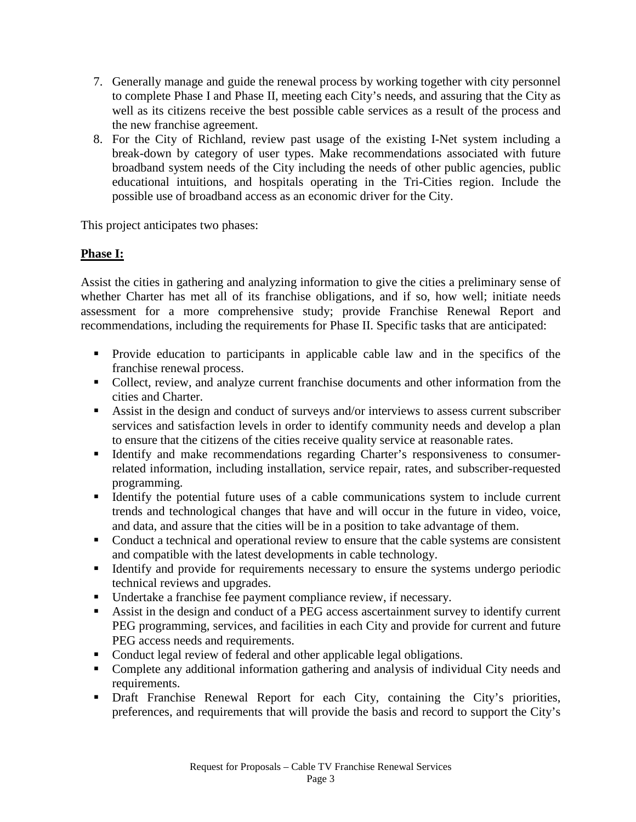- 7. Generally manage and guide the renewal process by working together with city personnel to complete Phase I and Phase II, meeting each City's needs, and assuring that the City as well as its citizens receive the best possible cable services as a result of the process and the new franchise agreement.
- 8. For the City of Richland, review past usage of the existing I-Net system including a break-down by category of user types. Make recommendations associated with future broadband system needs of the City including the needs of other public agencies, public educational intuitions, and hospitals operating in the Tri-Cities region. Include the possible use of broadband access as an economic driver for the City.

This project anticipates two phases:

# **Phase I:**

Assist the cities in gathering and analyzing information to give the cities a preliminary sense of whether Charter has met all of its franchise obligations, and if so, how well; initiate needs assessment for a more comprehensive study; provide Franchise Renewal Report and recommendations, including the requirements for Phase II. Specific tasks that are anticipated:

- **Provide education to participants in applicable cable law and in the specifics of the** franchise renewal process.
- Collect, review, and analyze current franchise documents and other information from the cities and Charter.
- Assist in the design and conduct of surveys and/or interviews to assess current subscriber services and satisfaction levels in order to identify community needs and develop a plan to ensure that the citizens of the cities receive quality service at reasonable rates.
- Identify and make recommendations regarding Charter's responsiveness to consumerrelated information, including installation, service repair, rates, and subscriber-requested programming.
- Identify the potential future uses of a cable communications system to include current trends and technological changes that have and will occur in the future in video, voice, and data, and assure that the cities will be in a position to take advantage of them.
- Conduct a technical and operational review to ensure that the cable systems are consistent and compatible with the latest developments in cable technology.
- Identify and provide for requirements necessary to ensure the systems undergo periodic technical reviews and upgrades.
- Undertake a franchise fee payment compliance review, if necessary.
- Assist in the design and conduct of a PEG access ascertainment survey to identify current PEG programming, services, and facilities in each City and provide for current and future PEG access needs and requirements.
- Conduct legal review of federal and other applicable legal obligations.
- Complete any additional information gathering and analysis of individual City needs and requirements.
- Draft Franchise Renewal Report for each City, containing the City's priorities, preferences, and requirements that will provide the basis and record to support the City's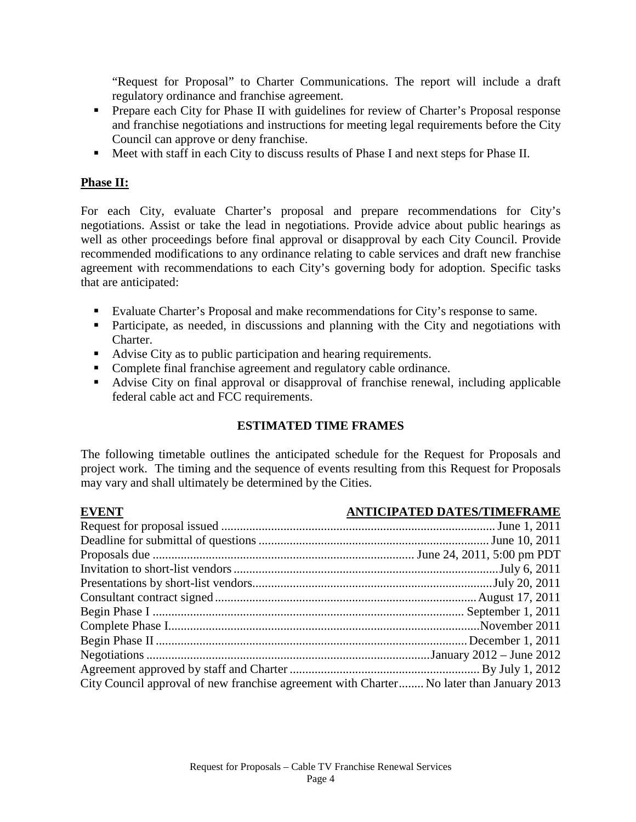"Request for Proposal" to Charter Communications. The report will include a draft regulatory ordinance and franchise agreement.

- **Prepare each City for Phase II with guidelines for review of Charter's Proposal response** and franchise negotiations and instructions for meeting legal requirements before the City Council can approve or deny franchise.
- Meet with staff in each City to discuss results of Phase I and next steps for Phase II.

# **Phase II:**

For each City, evaluate Charter's proposal and prepare recommendations for City's negotiations. Assist or take the lead in negotiations. Provide advice about public hearings as well as other proceedings before final approval or disapproval by each City Council. Provide recommended modifications to any ordinance relating to cable services and draft new franchise agreement with recommendations to each City's governing body for adoption. Specific tasks that are anticipated:

- Evaluate Charter's Proposal and make recommendations for City's response to same.
- **Participate, as needed, in discussions and planning with the City and negotiations with** Charter.
- Advise City as to public participation and hearing requirements.
- Complete final franchise agreement and regulatory cable ordinance.
- Advise City on final approval or disapproval of franchise renewal, including applicable federal cable act and FCC requirements.

# **ESTIMATED TIME FRAMES**

The following timetable outlines the anticipated schedule for the Request for Proposals and project work. The timing and the sequence of events resulting from this Request for Proposals may vary and shall ultimately be determined by the Cities.

| <b>EVENT</b>                                                                             | <b>ANTICIPATED DATES/TIMEFRAME</b> |
|------------------------------------------------------------------------------------------|------------------------------------|
|                                                                                          |                                    |
|                                                                                          |                                    |
|                                                                                          |                                    |
|                                                                                          |                                    |
|                                                                                          |                                    |
|                                                                                          |                                    |
|                                                                                          |                                    |
|                                                                                          |                                    |
|                                                                                          |                                    |
|                                                                                          |                                    |
|                                                                                          |                                    |
| City Council approval of new franchise agreement with Charter No later than January 2013 |                                    |